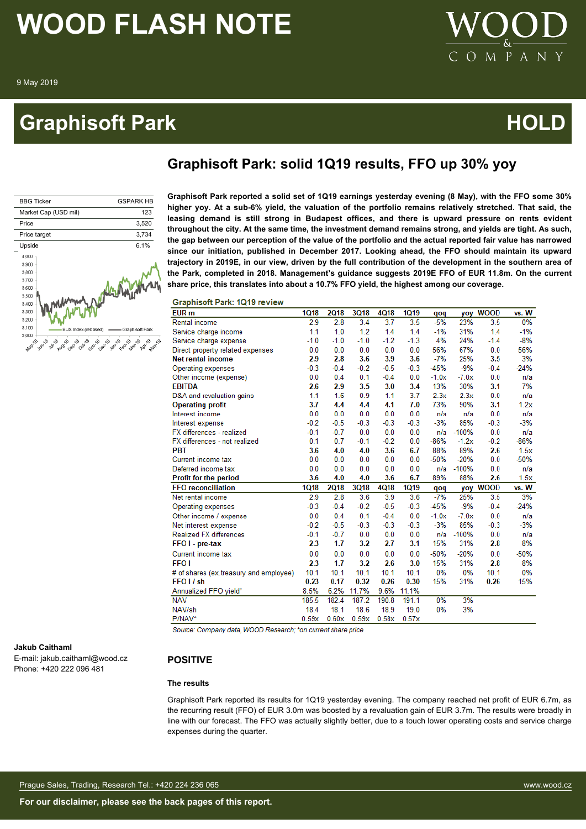### **Graphisoft Park Community Community Community Community Community Community Community Community Community Comm**

### **Graphisoft Park: solid 1Q19 results, FFO up 30% yoy**



**Graphisoft Park reported a solid set of 1Q19 earnings yesterday evening (8 May), with the FFO some 30% higher yoy. At a sub-6% yield, the valuation of the portfolio remains relatively stretched. That said, the leasing demand is still strong in Budapest offices, and there is upward pressure on rents evident throughout the city. At the same time, the investment demand remains strong, and yields are tight. As such, the gap between our perception of the value of the portfolio and the actual reported fair value has narrowed since our initiation, published in December 2017. Looking ahead, the FFO should maintain its upward trajectory in 2019E, in our view, driven by the full contribution of the development in the southern area of the Park, completed in 2018. Management's guidance suggests 2019E FFO of EUR 11.8m. On the current share price, this translates into about a 10.7% FFO yield, the highest among our coverage.**

 $\mathbf{P}$ 

A N

#### **Graphisoft Park: 1019 review**

| EUR <sub>m</sub>                       | <b>1Q18</b> | <b>2Q18</b> | <b>3Q18</b> | 4Q18   | <b>1Q19</b> | qoq     | yoy     | <b>WOOD</b> | vs. W  |
|----------------------------------------|-------------|-------------|-------------|--------|-------------|---------|---------|-------------|--------|
| Rental income                          | 2.9         | 2.8         | 3.4         | 3.7    | 3.5         | $-5%$   | 23%     | 3.5         | 0%     |
| Service charge income                  | 1.1         | 1.0         | 1.2         | 1.4    | 1.4         | $-1%$   | 31%     | 1.4         | $-1%$  |
| Service charge expense                 | $-1.0$      | $-1.0$      | $-1.0$      | $-1.2$ | $-1.3$      | 4%      | 24%     | $-1.4$      | $-8%$  |
| Direct property related expenses       | 0.0         | 0.0         | 0.0         | 0.0    | 0.0         | 56%     | 67%     | 0.0         | 56%    |
| <b>Net rental income</b>               | 2.9         | 2.8         | 3.6         | 3.9    | 3.6         | $-7%$   | 25%     | 3.5         | 3%     |
| Operating expenses                     | $-0.3$      | $-0.4$      | $-0.2$      | $-0.5$ | $-0.3$      | $-45%$  | $-9%$   | $-0.4$      | $-24%$ |
| Other income (expense)                 | 0.0         | 0.4         | 0.1         | $-0.4$ | 0.0         | $-1.0x$ | $-7.0x$ | 0.0         | n/a    |
| <b>EBITDA</b>                          | 2.6         | 2.9         | 3.5         | 3.0    | 3.4         | 13%     | 30%     | 3.1         | 7%     |
| D&A and revaluation gains              | 1.1         | 1.6         | 0.9         | 1.1    | 3.7         | 2.3x    | 2.3x    | 0.0         | n/a    |
| <b>Operating profit</b>                | 3.7         | 4.4         | 4.4         | 4.1    | 7.0         | 73%     | 90%     | 3.1         | 1.2x   |
| Interest income                        | 0.0         | 0.0         | 0.0         | 0.0    | 0.0         | n/a     | n/a     | 0.0         | n/a    |
| Interest expense                       | $-0.2$      | $-0.5$      | $-0.3$      | $-0.3$ | $-0.3$      | $-3%$   | 85%     | $-0.3$      | $-3%$  |
| FX differences - realized              | $-0.1$      | $-0.7$      | 0.0         | 0.0    | 0.0         | n/a     | $-100%$ | 0.0         | n/a    |
| FX differences - not realized          | 0.1         | 0.7         | $-0.1$      | $-0.2$ | 0.0         | $-86%$  | $-1.2x$ | $-0.2$      | $-86%$ |
| <b>PBT</b>                             | 3.6         | 4.0         | 4.0         | 3.6    | 6.7         | 88%     | 89%     | 2.6         | 1.5x   |
| Current income tax                     | 0.0         | 0.0         | 0.0         | 0.0    | 0.0         | $-50%$  | $-20%$  | 0.0         | $-50%$ |
| Deferred income tax                    | 0.0         | 0.0         | 0.0         | 0.0    | 0.0         | n/a     | $-100%$ | 0.0         | n/a    |
| Profit for the period                  | 3.6         | 4.0         | 4.0         | 3.6    | 6.7         | 89%     | 88%     | 2.6         | 1.5x   |
| <b>FFO</b> reconciliation              | <b>1Q18</b> | <b>2Q18</b> | 3Q18        | 4Q18   | <b>1Q19</b> | qoq     |         | yoy WOOD    | vs. W  |
| Net rental income                      | 2.9         | 2.8         | 3.6         | 3.9    | 3.6         | $-7%$   | 25%     | 3.5         | 3%     |
| Operating expenses                     | $-0.3$      | $-0.4$      | $-0.2$      | $-0.5$ | $-0.3$      | $-45%$  | $-9%$   | $-0.4$      | $-24%$ |
| Other income / expense                 | 0.0         | 0.4         | 0.1         | $-0.4$ | 0.0         | $-1.0x$ | $-7.0x$ | 0.0         | n/a    |
| Net interest expense                   | $-0.2$      | $-0.5$      | $-0.3$      | $-0.3$ | $-0.3$      | $-3%$   | 85%     | $-0.3$      | $-3%$  |
| <b>Realized FX differences</b>         | $-0.1$      | $-0.7$      | 0.0         | 0.0    | 0.0         | n/a     | $-100%$ | 0.0         | n/a    |
| FFO I - pre-tax                        | 2.3         | 1.7         | 3.2         | 2.7    | 3.1         | 15%     | 31%     | 2.8         | 8%     |
| Current income tax                     | 0.0         | 0.0         | 0.0         | 0.0    | 0.0         | $-50%$  | $-20%$  | 0.0         | $-50%$ |
| FFO <sub>1</sub>                       | 2.3         | 1.7         | 3.2         | 2.6    | 3.0         | 15%     | 31%     | 2.8         | 8%     |
| # of shares (ex.treasury and employee) | 10.1        | 10.1        | 10.1        | 10.1   | 10.1        | 0%      | 0%      | 10.1        | 0%     |
| FFO I / sh                             | 0.23        | 0.17        | 0.32        | 0.26   | 0.30        | 15%     | 31%     | 0.26        | 15%    |
| Annualized FFO yield*                  | 8.5%        | 6.2%        | 11.7%       | 9.6%   | 11.1%       |         |         |             |        |
| <b>NAV</b>                             | 185.5       | 182.4       | 187.2       | 190.8  | 191.1       | 0%      | 3%      |             |        |
| NAV/sh                                 | 18.4        | 18.1        | 18.6        | 18.9   | 19.0        | 0%      | 3%      |             |        |
| P/NAV*                                 | 0.59x       | 0.60x       | 0.59x       | 0.58x  | 0.57x       |         |         |             |        |

Source: Company data, WOOD Research; \*on current share price

#### **Jakub Caithaml**

E-mail: jakub.caithaml@wood.cz Phone: +420 222 096 481

#### **POSITIVE**

#### **The results**

Graphisoft Park reported its results for 1Q19 yesterday evening. The company reached net profit of EUR 6.7m, as the recurring result (FFO) of EUR 3.0m was boosted by a revaluation gain of EUR 3.7m. The results were broadly in line with our forecast. The FFO was actually slightly better, due to a touch lower operating costs and service charge expenses during the quarter.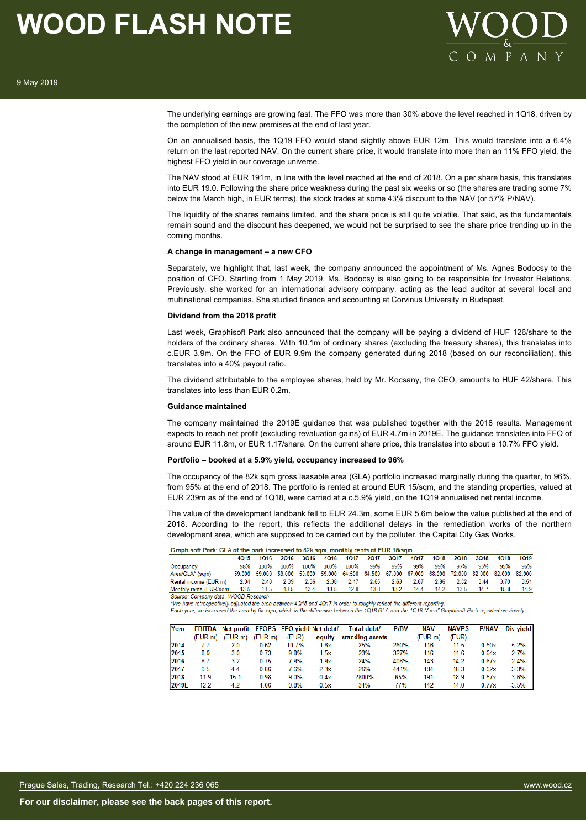

The underlying earnings are growing fast. The FFO was more than 30% above the level reached in 1Q18, driven by the completion of the new premises at the end of last year.

On an annualised basis, the 1Q19 FFO would stand slightly above EUR 12m. This would translate into a 6.4% return on the last reported NAV. On the current share price, it would translate into more than an 11% FFO yield, the highest FFO yield in our coverage universe.

The NAV stood at EUR 191m, in line with the level reached at the end of 2018. On a per share basis, this translates into EUR 19.0. Following the share price weakness during the past six weeks or so (the shares are trading some 7% below the March high, in EUR terms), the stock trades at some 43% discount to the NAV (or 57% P/NAV).

The liquidity of the shares remains limited, and the share price is still quite volatile. That said, as the fundamentals remain sound and the discount has deepened, we would not be surprised to see the share price trending up in the coming months.

#### **A change in management – a new CFO**

Separately, we highlight that, last week, the company announced the appointment of Ms. Agnes Bodocsy to the position of CFO. Starting from 1 May 2019, Ms. Bodocsy is also going to be responsible for Investor Relations. Previously, she worked for an international advisory company, acting as the lead auditor at several local and multinational companies. She studied finance and accounting at Corvinus University in Budapest.

#### **Dividend from the 2018 profit**

Last week, Graphisoft Park also announced that the company will be paying a dividend of HUF 126/share to the holders of the ordinary shares. With 10.1m of ordinary shares (excluding the treasury shares), this translates into c.EUR 3.9m. On the FFO of EUR 9.9m the company generated during 2018 (based on our reconciliation), this translates into a 40% payout ratio.

The dividend attributable to the employee shares, held by Mr. Kocsany, the CEO, amounts to HUF 42/share. This translates into less than EUR 0.2m.

#### **Guidance maintained**

The company maintained the 2019E guidance that was published together with the 2018 results. Management expects to reach net profit (excluding revaluation gains) of EUR 4.7m in 2019E. The guidance translates into FFO of around EUR 11.8m, or EUR 1.17/share. On the current share price, this translates into about a 10.7% FFO yield.

#### **Portfolio – booked at a 5.9% yield, occupancy increased to 96%**

The occupancy of the 82k sqm gross leasable area (GLA) portfolio increased marginally during the quarter, to 96%, from 95% at the end of 2018. The portfolio is rented at around EUR 15/sqm, and the standing properties, valued at EUR 239m as of the end of 1Q18, were carried at a c.5.9% yield, on the 1Q19 annualised net rental income.

The value of the development landbank fell to EUR 24.3m, some EUR 5.6m below the value published at the end of 2018. According to the report, this reflects the additional delays in the remediation works of the northern development area, which are supposed to be carried out by the polluter, the Capital City Gas Works.

#### Graphisoft Park: GLA of the park increased to 82k sqm, monthly rents at EUR 15/sqm

|                                                                     | 4015 | 1Q16 2Q16 3Q16 4Q16 1Q17 2Q17 3Q17 4Q17 1Q18 2Q18 3Q18 4Q18 1Q19                                  |  |  |  |           |      |      |      |
|---------------------------------------------------------------------|------|---------------------------------------------------------------------------------------------------|--|--|--|-----------|------|------|------|
| Occupancy                                                           | 98%  | 100% 100% 100% 100% 100% 99% 99% 99% 99% 97% 95% 95%                                              |  |  |  |           |      |      | 96%  |
| Area/GLA* (sqm)                                                     |      | 59,000 59,000 59,000 59,000 59,000 64,500 64,500 67,000 67,000 68,000 72,000 82,000 82,000 82,000 |  |  |  |           |      |      |      |
| Rental income (EUR m)                                               |      | 2.34 2.40 2.39 2.36 2.38 2.47 2.65 2.63 2.87 2.86 2.82 3.44 3.70 3.51                             |  |  |  |           |      |      |      |
| Monthly rents (EUR/sqm 13.5 13.5 13.5 13.4 13.5 12.8 13.8 13.2 14.4 |      |                                                                                                   |  |  |  | 14.2 13.5 | 14.7 | 15.8 | 14.9 |

Source: Company data, WOOD Research

Each year, we increased the area by 6k sqm, which is the difference between the 1Q18 GLA and the 1Q18 "Area" Graphisoft Park reported previously.

| Year  |         |                     |                     | EBITDA Net profit FFOPS FFO yield Net debt/ |        | Total debt/     | <b>P/BV</b> | <b>NAV</b>          | <b>NAVPS</b> | <b>P/NAV</b> | Div yield |
|-------|---------|---------------------|---------------------|---------------------------------------------|--------|-----------------|-------------|---------------------|--------------|--------------|-----------|
|       | (EUR m) | (EUR <sub>m</sub> ) | (EUR <sub>m</sub> ) | (EUR)                                       | equity | standing assets |             | (EUR <sub>m</sub> ) | (EUR)        |              |           |
| 2014  | 7.7     | 2.0                 | 0.62                | 10.7%                                       | 1.8x   | 25%             | 260%        | 116                 | 11.5         | 0.50x        | 5.2%      |
| 2015  | 8.9     | 3.0                 | 0.73                | 9.8%                                        | 1.5x   | 23%             | 327%        | 116                 | 11.6         | 0.64x        | 2.7%      |
| 2016  | 8.7     | 3.2                 | 0.75                | 7.9%                                        | 1.9x   | 24%             | 408%        | 143                 | 14.2         | 0.67x        | 2.4%      |
| 2017  | 9.5     | 4.4                 | 0.86                | 7.6%                                        | 2.3x   | 26%             | 441%        | 184                 | 18.3         | 0.62x        | 3.3%      |
| 2018  | 11.9    | 15.1                | 0.98                | 9.0%                                        | 0.4x   | 2800%           | 65%         | 191                 | 18.9         | 0.57x        | 3.6%      |
| 2019E | 12.2    | 4.2                 | 1.06                | 9.8%                                        | 0.5x   | 31%             | 77%         | 142                 | 14.0         | 0.77x        | 3.5%      |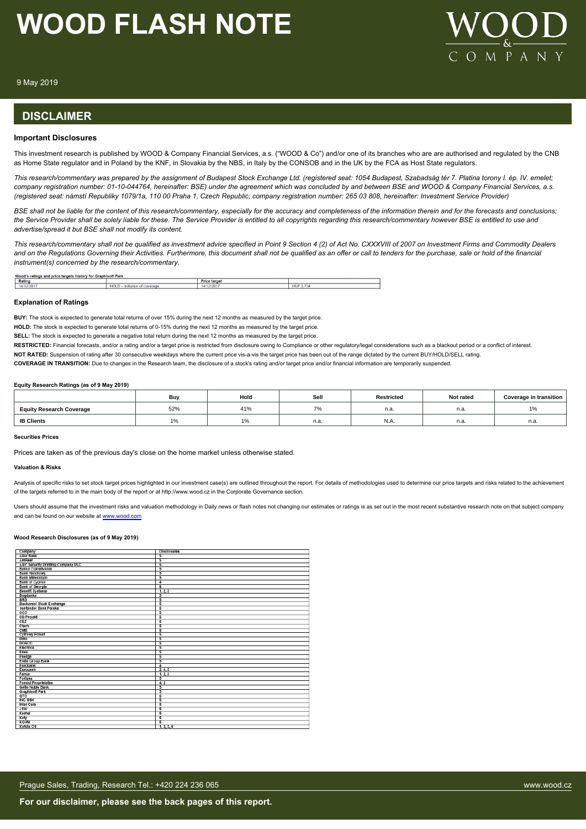

9 May 2019

### **DISCLAIMER**

#### **Important Disclosures**

This investment research is published by WOOD & Company Financial Services, a.s. ("WOOD & Co") and/or one of its branches who are are authorised and regulated by the CNB as Home State regulator and in Poland by the KNF, in Slovakia by the NBS, in Italy by the CONSOB and in the UK by the FCA as Host State regulators.

*This research/commentary was prepared by the assignment of Budapest Stock Exchange Ltd. (registered seat: 1054 Budapest, Szabadság tér 7. Platina torony I. ép. IV. emelet; company registration number: 01-10-044764, hereinafter: BSE) under the agreement which was concluded by and between BSE and WOOD & Company Financial Services, a.s. (registered seat: námstí Republiky 1079/1a, 110 00 Praha 1, Czech Republic; company registration number: 265 03 808, hereinafter: Investment Service Provider)*

*BSE shall not be liable for the content of this research/commentary, especially for the accuracy and completeness of the information therein and for the forecasts and conclusions; the Service Provider shall be solely liable for these. The Service Provider is entitled to all copyrights regarding this research/commentary however BSE is entitled to use and advertise/spread it but BSE shall not modify its content.*

*This research/commentary shall not be qualified as investment advice specified in Point 9 Section 4 (2) of Act No. CXXXVIII of 2007 on Investment Firms and Commodity Dealers and on the Regulations Governing their Activities. Furthermore, this document shall not be qualified as an offer or call to tenders for the purchase, sale or hold of the financial instrument(s) concerned by the research/commentary.*

| Wood's ratings and price targets history for (<br><b>Nsoft Park</b><br>Graphi |                                                 |                   |   |  |  |  |  |
|-------------------------------------------------------------------------------|-------------------------------------------------|-------------------|---|--|--|--|--|
| Rating                                                                        |                                                 | Price<br>e target |   |  |  |  |  |
| 4/12/201                                                                      | <b>HOLL</b><br>--------<br>coverad<br>mc<br>шан | .<br>w            | ш |  |  |  |  |

#### **Explanation of Ratings**

**BUY:** The stock is expected to generate total returns of over 15% during the next 12 months as measured by the target price.

**HOLD:** The stock is expected to generate total returns of 0-15% during the next 12 months as measured by the target price.

**SELL:** The stock is expected to generate a negative total return during the next 12 months as measured by the target price.

RESTRICTED: Financial forecasts, and/or a rating and/or a target price is restricted from disclosure owing to Compliance or other regulatory/legal considerations such as a blackout period or a conflict of interest.

**NOT RATED:** Suspension of rating after 30 consecutive weekdays where the current price vis-a-vis the target price has been out of the range dictated by the current BUY/HOLD/SELL rating.

**COVERAGE IN TRANSITION:** Due to changes in the Research team, the disclosure of a stock's rating and/or target price and/or financial information are temporarily suspended.

#### **Equity Research Ratings (as of 9 May 2019)**

|                                 | Bu  | Hold | Sell                                      | <b>Restricted</b> | Not rated | Coverage in transition |
|---------------------------------|-----|------|-------------------------------------------|-------------------|-----------|------------------------|
| <b>Equity Research Coverage</b> | 52% | 41%  | $\rightarrow$<br>$\overline{\phantom{a}}$ | n.a               | n.a.      | $1\%$                  |
| <b>IB Clients</b>               |     | .    | n.a.                                      | IN.A.             | n.a.      | n.a.                   |

#### **Securities Prices**

Prices are taken as of the previous day's close on the home market unless otherwise stated.

#### **Valuation & Risks**

Analysis of specific risks to set stock target prices highlighted in our investment case(s) are outlined throughout the report. For details of methodologies used to determine our price targets and risks related to the achi of the targets referred to in the main body of the report or at http://www.wood.cz in the Corporate Governance section.

Users should assume that the investment risks and valuation methodology in Daily news or flash notes not changing our estimates or ratings is as set out in the most recent substantive research note on that subject company and can be found on our website at [www.wood.com](https://research.wood.cz)

#### **Wood Research Disclosures (as of 9 May 2019)**

| Company                                                 | <b>Disclosures</b>       |
|---------------------------------------------------------|--------------------------|
| <b>Allor Bank</b>                                       | 5                        |
| AmRest                                                  | $\overline{\phantom{a}}$ |
| ANY Security Printing Company PLC<br>Banca Transilvania |                          |
|                                                         | $\overline{\phantom{a}}$ |
| <b>Bank Handlowy</b>                                    |                          |
| Bank Millennium                                         |                          |
| <b>Bank of Cyprus</b>                                   | 4                        |
| <b>Bank of Georgia</b>                                  | ड                        |
| <b>Benefit Systems</b>                                  | 1, 2, 3                  |
| Bogdanka                                                | 5                        |
| <b>BRD</b>                                              |                          |
| <b>Bucharest Stock Exchange</b>                         | $\overline{\phantom{a}}$ |
| Santander Bank Polska                                   | $\overline{\phantom{a}}$ |
| ccc                                                     | 5                        |
| <b>CD Projekt</b>                                       | $\overline{5}$           |
| CEZ                                                     | 5                        |
| Clech                                                   | $\overline{\phantom{a}}$ |
| CME                                                     | 5                        |
| <b>Cyfrowy Polsat</b>                                   | $\overline{\phantom{a}}$ |
| <b>Dino</b>                                             | $\overline{5}$           |
| DO&CO                                                   | 5                        |
| Electrica                                               | 5                        |
| Enea                                                    | 5                        |
| Energa                                                  | 5                        |
| <b>Erste Group Bank</b>                                 | $\overline{\phantom{a}}$ |
| Eurobank                                                | 4                        |
| Eurocash                                                | 2, 4, 5                  |
| Famur                                                   | 1, 2, 3                  |
| Fortuna                                                 |                          |
| <b>Fondul Proprietatea</b>                              | 4, 5                     |
| Getin Noble Bank                                        | 5                        |
| <b>Graphisoft Park</b>                                  | 5                        |
| GTC                                                     | $\overline{\phantom{a}}$ |
| <b>ING BSK</b>                                          | 5                        |
| <b>Inter Cars</b>                                       | $\overline{\phantom{a}}$ |
| <b>JSW</b>                                              | 5                        |
| Kernel                                                  | $\overline{\phantom{a}}$ |
| Kety                                                    | $\overline{\phantom{a}}$ |
| <b>KGHM</b>                                             | 5                        |
| Kofola CS                                               | 1, 2, 3, 5               |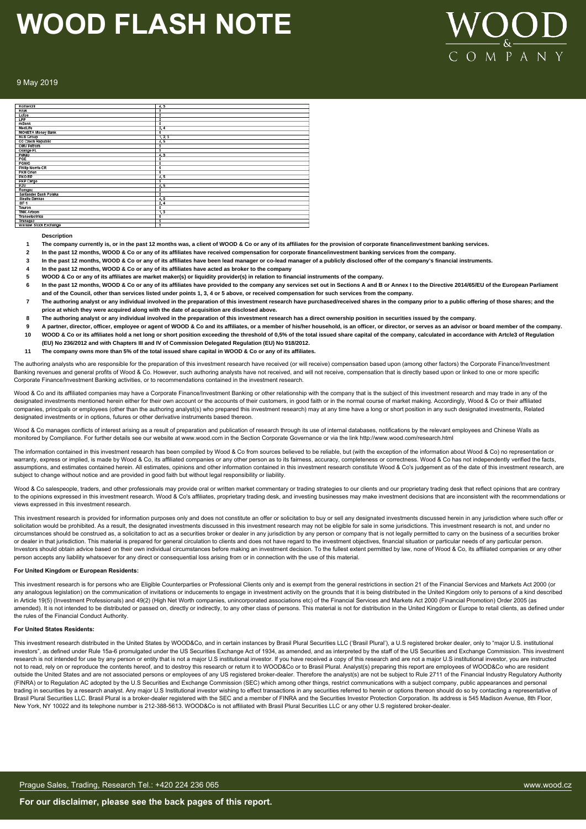

#### 9 May 2019

| Komercni                          | 4, 5           |
|-----------------------------------|----------------|
| Kruk                              | 5              |
| Lotos <sup>-</sup>                | 5              |
| LPP                               | 5              |
| mBank                             | $\overline{5}$ |
| MedLife                           | 2,4            |
| <b>MONETA Money Bank</b>          | 5              |
| <b>NLB Group</b>                  | 1, 2, 3        |
| O2 Czech Republic                 | 4, 5           |
| OMV Petrom                        | 5              |
| Orange PL                         | 5              |
| Рекао                             | 4, 5           |
| PGE                               | 5              |
| <b>PGNIG</b>                      | 5              |
| <b>Philip Morris CR</b>           | 5              |
| <b>PKN Orlen</b>                  | 5              |
| PKO BP                            | 4, 5           |
| PKP Cargo                         | 5              |
| PZU                               | 4, 5           |
| Romgaz                            | 5              |
| Santander Bank Polska             | 5              |
| <b>Slaullu Bankas</b>             | 4, 6           |
| $SIF-1$                           | 2,4            |
| Tauron                            | 5              |
| <b>TMK Artrom</b>                 | 1, 3           |
| Transelectrica                    | 5              |
| Transgaz<br>Warsaw Stock Exchange | 5              |
|                                   | 5              |

#### **Description**

- **1 The company currently is, or in the past 12 months was, a client of WOOD & Co or any of its affiliates for the provision of corporate finance/investment banking services.**
- **2 In the past 12 months, WOOD & Co or any of its affiliates have received compensation for corporate finance/investment banking services from the company.**
- **3 In the past 12 months, WOOD & Co or any of its affiliates have been lead manager or co-lead manager of a publicly disclosed offer of the company's financial instruments.**
- **4 In the past 12 months, WOOD & Co or any of its affiliates have acted as broker to the company**
- **5 WOOD & Co or any of its affiliates are market maker(s) or liquidity provider(s) in relation to financial instruments of the company.**
- **6 In the past 12 months, WOOD & Co or any of its affiliates have provided to the company any services set out in Sections A and B or Annex I to the Directive 2014/65/EU of the European Parliament and of the Council, other than services listed under points 1, 3, 4 or 5 above, or received compensation for such services from the company.**
- **7 The authoring analyst or any individual involved in the preparation of this investment research have purchased/received shares in the company prior to a public offering of those shares; and the price at which they were acquired along with the date of acquisition are disclosed above.**
- **8 The authoring analyst or any individual involved in the preparation of this investment research has a direct ownership position in securities issued by the company.**
- **9 A partner, director, officer, employee or agent of WOOD & Co and its affiliates, or a member of his/her household, is an officer, or director, or serves as an advisor or board member of the company. 10 WOOD & Co or its affiliates hold a net long or short position exceeding the threshold of 0,5% of the total issued share capital of the company, calculated in accordance with Artcle3 of Regulation (EU) No 236/2012 and with Chapters III and IV of Commission Delegated Regulation (EU) No 918/2012.**
- **11 The company owns more than 5% of the total issued share capital in WOOD & Co or any of its affiliates.**

The authoring analysts who are responsible for the preparation of this investment research have received (or will receive) compensation based upon (among other factors) the Corporate Finance/Investment Banking revenues and general profits of Wood & Co. However, such authoring analysts have not received, and will not receive, compensation that is directly based upon or linked to one or more specific Corporate Finance/Investment Banking activities, or to recommendations contained in the investment research.

Wood & Co and its affiliated companies may have a Corporate Finance/Investment Banking or other relationship with the company that is the subject of this investment research and may trade in any of the designated investments mentioned herein either for their own account or the accounts of their customers, in good faith or in the normal course of market making. Accordingly, Wood & Co or their affiliated companies, principals or employees (other than the authoring analyst(s) who prepared this investment research) may at any time have a long or short position in any such designated investments, Related designated investments or in options, futures or other derivative instruments based thereon.

Wood & Co manages conflicts of interest arising as a result of preparation and publication of research through its use of internal databases, notifications by the relevant employees and Chinese Walls as monitored by Compliance. For further details see our website at www.wood.com in the Section Corporate Governance or via the link http://www.wood.com/research.html

The information contained in this investment research has been compiled by Wood & Co from sources believed to be reliable, but (with the exception of the information about Wood & Co) no representation or warranty, express or implied, is made by Wood & Co, its affiliated companies or any other person as to its fairness, accuracy, completeness or correctness. Wood & Co has not independently verified the facts, assumptions, and estimates contained herein. All estimates, opinions and other information contained in this investment research constitute Wood & Co's judgement as of the date of this investment research, are subject to change without notice and are provided in good faith but without legal responsibility or liability.

Wood & Co salespeople, traders, and other professionals may provide oral or written market commentary or trading strategies to our clients and our proprietary trading desk that reflect opinions that are contrary to the opinions expressed in this investment research. Wood & Co's affiliates, proprietary trading desk, and investing businesses may make investment decisions that are inconsistent with the recommendations or views expressed in this investment research.

This investment research is provided for information purposes only and does not constitute an offer or solicitation to buy or sell any designated investments discussed herein in any jurisdiction where such offer or solicitation would be prohibited. As a result, the designated investments discussed in this investment research may not be eligible for sale in some jurisdictions. This investment research is not, and under no circumstances should be construed as, a solicitation to act as a securities broker or dealer in any jurisdiction by any person or company that is not legally permitted to carry on the business of a securities broker or dealer in that jurisdiction. This material is prepared for general circulation to clients and does not have regard to the investment objectives, financial situation or particular needs of any particular person. Investors should obtain advice based on their own individual circumstances before making an investment decision. To the fullest extent permitted by law, none of Wood & Co, its affiliated companies or any other person accepts any liability whatsoever for any direct or consequential loss arising from or in connection with the use of this material.

#### **For United Kingdom or European Residents:**

This investment research is for persons who are Eligible Counterparties or Professional Clients only and is exempt from the general restrictions in section 21 of the Financial Services and Markets Act 2000 (or any analogous legislation) on the communication of invitations or inducements to engage in investment activity on the grounds that it is being distributed in the United Kingdom only to persons of a kind described in Article 19(5) (Investment Professionals) and 49(2) (High Net Worth companies, unincorporated associations etc) of the Financial Services and Markets Act 2000 (Financial Promotion) Order 2005 (as amended). It is not intended to be distributed or passed on, directly or indirectly, to any other class of persons. This material is not for distribution in the United Kingdom or Europe to retail clients, as defined under the rules of the Financial Conduct Authority.

#### **For United States Residents:**

This investment research distributed in the United States by WOOD&Co, and in certain instances by Brasil Plural Securities LLC ('Brasil Plural'), a U.S registered broker dealer, only to "major U.S. institutional investors", as defined under Rule 15a-6 promulgated under the US Securities Exchange Act of 1934, as amended, and as interpreted by the staff of the US Securities and Exchange Commission. This investment research is not intended for use by any person or entity that is not a major U.S institutional investor. If you have received a copy of this research and are not a major U.S institutional investor, you are instructed not to read, rely on or reproduce the contents hereof, and to destroy this research or return it to WOOD&Co or to Brasil Plural. Analyst(s) preparing this report are employees of WOOD&Co who are resident outside the United States and are not associated persons or employees of any US registered broker-dealer. Therefore the analyst(s) are not be subject to Rule 2711 of the Financial Industry Regulatory Authority (FINRA) or to Regulation AC adopted by the U.S Securities and Exchange Commission (SEC) which among other things, restrict communications with a subject company, public appearances and personal trading in securities by a research analyst. Any major U.S Institutional investor wishing to effect transactions in any securities referred to herein or options thereon should do so by contacting a representative of Brasil Plural Securities LLC. Brasil Plural is a broker-dealer registered with the SEC and a member of FINRA and the Securities Investor Protection Corporation. Its address is 545 Madison Avenue, 8th Floor, New York, NY 10022 and its telephone number is 212-388-5613. WOOD&Co is not affiliated with Brasil Plural Securities LLC or any other U.S registered broker-dealer.